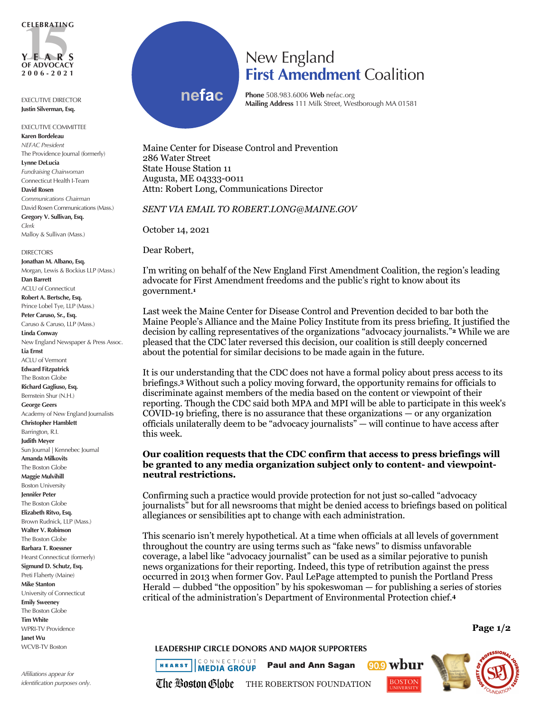

EXECUTIVE DIRECTOR **Justin Silverman, Esq.**

EXECUTIVE COMMITTEE **Karen Bordeleau** *NEFAC President* The Providence Journal (formerly) **Lynne DeLucia** *Fundraising Chairwoman* Connecticut Health I-Team **David Rosen** *Communications Chairman* David Rosen Communications (Mass.) **Gregory V. Sullivan, Esq.**

*Clerk* Malloy & Sullivan (Mass.)

**DIRECTORS Jonathan M. Albano, Esq.** Morgan, Lewis & Bockius LLP (Mass.) **Dan Barrett** ACLU of Connecticut **Robert A. Bertsche, Esq.** Prince Lobel Tye, LLP (Mass.) **Peter Caruso, Sr., Esq.** Caruso & Caruso, LLP (Mass.) **Linda Conway** New England Newspaper & Press Assoc. **Lia Ernst** ACLU of Vermont **Edward Fitzpatrick** The Boston Globe **Richard Gagliuso, Esq.** Bernstein Shur (N.H.) **George Geers** Academy of New England Journalists **Christopher Hamblett** Barrington, R.I. **Judith Meyer** Sun Journal | Kennebec Journal **Amanda Milkovits** The Boston Globe **Maggie Mulvihill** Boston University **Jennifer Peter** The Boston Globe **Elizabeth Ritvo, Esq.** Brown Rudnick, LLP (Mass.) **Walter V. Robinson** The Boston Globe **Barbara T. Roessner** Hearst Connecticut (formerly) **Sigmund D. Schutz, Esq.** Preti Flaherty (Maine) **Mike Stanton** University of Connecticut **Emily Sweeney** The Boston Globe **Tim White** WPRI-TV Providence **Janet Wu**

*Affiliations appear for identification purposes only.*

WCVB-TV Boston

## New England **First Amendment** Coalition

**nefac**

**Phone** 508.983.6006 **Web** nefac.org **Mailing Address** 111 Milk Street, Westborough MA 01581

Maine Center for Disease Control and Prevention 286 Water Street State House Station 11 Augusta, ME 04333-0011 Attn: Robert Long, Communications Director

*SENT VIA EMAIL TO ROBERT.LONG@MAINE.GOV* 

October 14, 2021

Dear Robert,

I'm writing on behalf of the New England First Amendment Coalition, the region's leading advocate for First Amendment freedoms and the public's right to know about its government.**<sup>1</sup>**

Last week the Maine Center for Disease Control and Prevention decided to bar both the Maine People's Alliance and the Maine Policy Institute from its press briefing. It justified the decision by calling representatives of the organizations "advocacy journalists."**<sup>2</sup>** While we are pleased that the CDC later reversed this decision, our coalition is still deeply concerned about the potential for similar decisions to be made again in the future.

It is our understanding that the CDC does not have a formal policy about press access to its briefings.**<sup>3</sup>** Without such a policy moving forward, the opportunity remains for officials to discriminate against members of the media based on the content or viewpoint of their reporting. Though the CDC said both MPA and MPI will be able to participate in this week's COVID-19 briefing, there is no assurance that these organizations — or any organization officials unilaterally deem to be "advocacy journalists" — will continue to have access after this week.

## **Our coalition requests that the CDC confirm that access to press briefings will be granted to any media organization subject only to content- and viewpointneutral restrictions.**

Confirming such a practice would provide protection for not just so-called "advocacy journalists" but for all newsrooms that might be denied access to briefings based on political allegiances or sensibilities apt to change with each administration.

This scenario isn't merely hypothetical. At a time when officials at all levels of government throughout the country are using terms such as "fake news" to dismiss unfavorable coverage, a label like "advocacy journalist" can be used as a similar pejorative to punish news organizations for their reporting. Indeed, this type of retribution against the press occurred in 2013 when former Gov. Paul LePage attempted to punish the Portland Press Herald — dubbed "the opposition" by his spokeswoman — for publishing a series of stories critical of the administration's Department of Environmental Protection chief.**<sup>4</sup>**

**LEADERSHIP CIRCLE DONORS AND MAJOR SUPPORTERS** 

**ICONNECTICUT** 

**HEARST MEDIA GROUP** 

Paul and Ann Sagan





**Page 1/2**